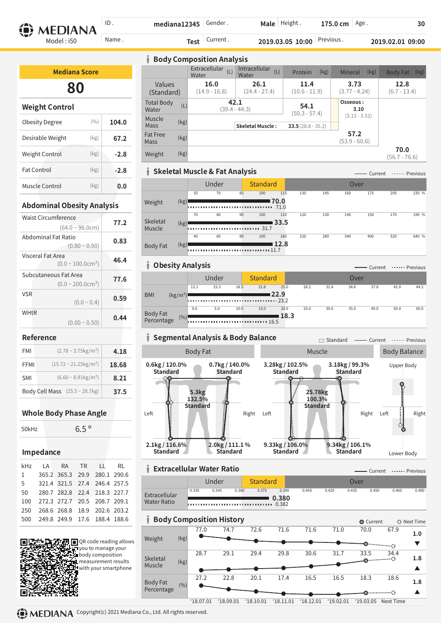Male | Height. ID . **mediana12345** Gender . **175.0 cm** | Age . **180 30 MEDIANA** Name . **2019.03.05 10:00 Previous . 2019.02.01 09:00 2019.02.01 2019.02.01 2019 Test** Model : i50

| <b>Mediana Score</b>  |       |        |  |  |  |  |  |  |
|-----------------------|-------|--------|--|--|--|--|--|--|
| 80                    |       |        |  |  |  |  |  |  |
| <b>Weight Control</b> |       |        |  |  |  |  |  |  |
| Obesity Degree        | (0/0) | 104.0  |  |  |  |  |  |  |
| Desirable Weight      | (kg)  | 67.2   |  |  |  |  |  |  |
| Weight Control        | (kg)  | $-2.8$ |  |  |  |  |  |  |
|                       |       |        |  |  |  |  |  |  |

| <b>Body Composition Analysis</b>  |                                                    |                                                    |                         |                         |                         |  |  |  |  |
|-----------------------------------|----------------------------------------------------|----------------------------------------------------|-------------------------|-------------------------|-------------------------|--|--|--|--|
|                                   | Extracellular<br>(L)<br>Water                      | Intracellular<br>(L)<br>Water                      | (kg)<br>Protein         | (kg)<br>Mineral         | (kg)<br><b>Body Fat</b> |  |  |  |  |
| Values<br>(Standard)              | 16.0<br>26.1<br>$(14.9 - 16.8)$<br>$(24.4 - 27.4)$ |                                                    | 11.4<br>$(10.6 - 11.9)$ | 3.73<br>$(3.77 - 4.24)$ | 12.8<br>$(6.7 - 13.4)$  |  |  |  |  |
| <b>Total Body</b><br>(L)<br>Water |                                                    | 42.1<br>$(39.4 - 44.3)$<br><b>Skeletal Muscle:</b> |                         | Osseous:<br>3.10        |                         |  |  |  |  |
| Muscle<br>(kg)<br>Mass            |                                                    |                                                    |                         | $(3.13 - 3.52)$         |                         |  |  |  |  |
| <b>Fat Free</b><br>(kg)<br>Mass   |                                                    |                                                    |                         | 57.2<br>$(53.9 - 60.6)$ |                         |  |  |  |  |
| (kg)<br>Weight                    |                                                    |                                                    |                         |                         | 70.0<br>$(56.7 - 76.6)$ |  |  |  |  |

### **Skeletal Muscle & Fat Analysis**

|                                    |      |    | Under |    | <b>Standard</b> |      |     |     | Over |     |     |       |
|------------------------------------|------|----|-------|----|-----------------|------|-----|-----|------|-----|-----|-------|
|                                    |      | 55 | 70    | 85 | 100             | 115  | 130 | 145 | 160  | 175 | 205 | 235 % |
| Weight                             | (kg) | .  |       |    |                 | 70.0 |     |     |      |     |     |       |
|                                    |      | 70 | 80    | 90 | 100             | 110  | 120 | 130 | 140  | 150 | 170 | 190 % |
| Skeletal<br>33.5<br>(kg)<br>Muscle |      |    |       |    |                 |      |     |     |      |     |     |       |
|                                    |      | 40 | 60    | 80 | 100             | 160  | 220 | 280 | 340  | 400 | 520 | 640 % |
| <b>Body Fat</b>                    | (kg) | .  |       |    | . 11.7          | 12.8 |     |     |      |     |     |       |

Current Previous

**1.8**

 $\blacktriangle$ 

**1.8**

 $\blacktriangle$ 

### **Obesity Analysis**

| <b>ONCORD MINIVARY</b>          |      |       |      |                 |      |      |      |      | Current |      | ------ Previous |
|---------------------------------|------|-------|------|-----------------|------|------|------|------|---------|------|-----------------|
|                                 |      | Under |      | <b>Standard</b> |      |      |      | Over |         |      |                 |
|                                 | 12.1 | 15.3  | 18.5 | 21.8            | 25.0 | 28.2 | 31.4 | 34.6 | 37.8    | 41.0 | 44.2            |
| <b>BMI</b><br>$(kg/m^2)$        |      |       |      |                 | 22.9 |      |      |      |         |      |                 |
|                                 |      |       |      |                 |      |      |      |      |         |      |                 |
|                                 | 0.0  | 5.0   | 10.0 | 15.0            | 20.0 | 25.0 | 30.0 | 35.0 | 40.0    | 50.0 | 60.0            |
| Body Fat<br>Percentage<br>(9/0) |      |       |      |                 | 18.3 |      |      |      |         |      |                 |
|                                 |      |       |      |                 |      |      |      |      |         |      |                 |

### **Reference**

**VSR** 

**WHtR** 

Waist Circumference

Fat Control

Muscle Control

**Abdominal Obesity Analysis**

 $(64.0 - 96.0cm)$ 

 $(0.0 \sim 100.0 \text{cm}^2)$ 

 $(0.0 \sim 200.0 \text{cm}^2)$ 

 $(0.0 - 0.4)$ 

 $(0.00 \sim 0.50)$  **0.44** 

 $(0.80 - 0.90)$ 

(kg)

(kg)

**77.2**

**-2.8**

**0.0**

**0.83**

**46.4**

**77.6**

**0.59**

Abdominal Fat Ratio

Subcutaneous Fat Area

Visceral Fat Area

| <b>FMI</b> | $(2.78 \sim 3.75 \text{kg/m}^2)$            | 4.18  |
|------------|---------------------------------------------|-------|
| FFMI       | $(15.72 \sim 21.25 \text{kg/m}^2)$          | 18.68 |
| <b>SMI</b> | $(6.60 \sim 8.91 \text{kg/m}^2)$            | 8.21  |
|            | Body Cell Mass $(25.5 \sim 28.7 \text{kg})$ | 37.5  |

### **Whole Body Phase Angle**

### **Impedance**

| kHz         | LA RA TR LL RL                   |                              |  |  |
|-------------|----------------------------------|------------------------------|--|--|
| $1 \quad$   |                                  | 365.2 365.3 29.9 280.1 290.6 |  |  |
| $5^{\circ}$ |                                  | 321.4 321.5 27.4 246.4 257.5 |  |  |
|             | 50 280.7 282.8 22.4 218.3 227.7  |                              |  |  |
| 100         | 272.3 272.7 20.5 208.7 209.1     |                              |  |  |
| 250         |                                  | 268.6 268.8 18.9 202.6 203.2 |  |  |
|             | 500 249.8 249.9 17.6 188.4 188.6 |                              |  |  |
|             |                                  |                              |  |  |





28.7 29.1 29.4 29.8 30.6 31.7 33.5 34.4

27.2 22.8 20.1 17.4 16.5 16.5 18.3 18.6

ė

'18.07.01 '18.09.01 '18.10.01 '18.11.01 '18.12.01 '19.02.01 '19.03.05 Next Time

Body Fat Percentage

(%)

(kg)

 $\bullet$ 

Skeletal Muscle